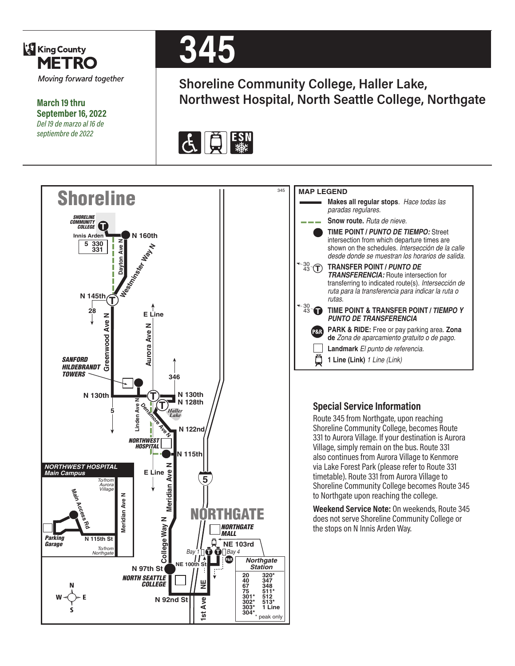

**March 19 thru September 16, 2022** *Del 19 de marzo al 16 de septiembre de 2022*

# **345**

**Shoreline Community College, Haller Lake, Northwest Hospital, North Seattle College, Northgate**



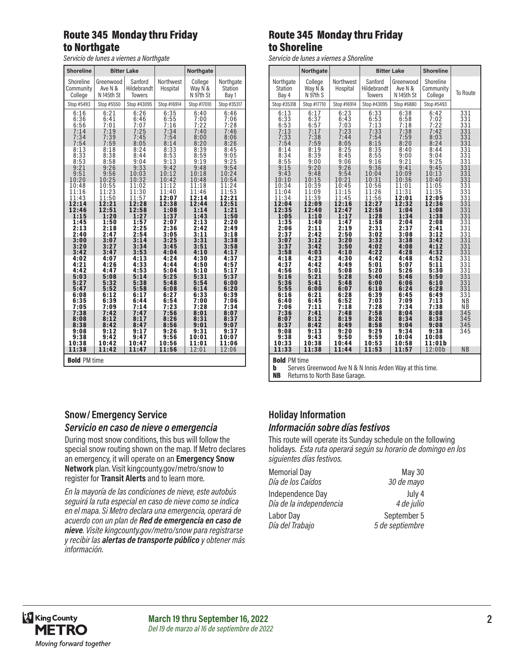# Route 345 Monday thru Friday to Northgate

*Servicio de lunes a viernes a Northgate*

| <b>Shoreline</b>                                    |                                    | <b>Bitter Lake</b>                      |                                  | <b>Northgate</b>                |                                      |  |
|-----------------------------------------------------|------------------------------------|-----------------------------------------|----------------------------------|---------------------------------|--------------------------------------|--|
| Shoreline<br>Community<br>College                   | Greenwood<br>Ave N &<br>N 145th St | Sanford<br>Hildebrandt<br><b>Towers</b> | Northwest<br>Hospital            | College<br>Way N &<br>N 97th St | Northgate<br><b>Station</b><br>Bay 1 |  |
| Stop #5493                                          | Stop #5550                         | Stop #43095                             | Stop #16914                      | Stop #17010                     | Stop #35317                          |  |
| 6:16<br>6:36<br>6:56<br>7:14                        | 6:21<br>6:41<br>7:01<br>7:19       | 6:26<br>6:46<br>7:07<br>7:25            | 6:35<br>$6:55$<br>$7:16$<br>7:34 | 6:40<br>7:00<br>7:22<br>7:40    | 6:46<br>7:06<br>7:28<br>7:46         |  |
| 7:34                                                | 7:39                               | 7:45                                    | 7:54                             | 8:00                            | 8:06                                 |  |
| 7:54                                                | 7:59                               | 8:05                                    | 8:14                             | 8:20                            | 8:26                                 |  |
| $\begin{array}{c} 8:13 \\ 8:33 \\ 8:53 \end{array}$ | 8:18<br>8:38<br>8:58               | 8:24<br>8:44<br>9:04                    | 8:33<br>$8:53$<br>9:13           | 8:39<br>8:59<br>9:19            | 8:45<br>9:05<br>9:25                 |  |
| 9:21                                                | 9:26                               | 9:33                                    | 9:42                             | 9:48                            | 9:54                                 |  |
| 9:51                                                | 9:56                               | 10:03                                   | 10:12                            | 10:18                           | 10:24                                |  |
| 10:20                                               | 10:25                              | 10:32                                   | 10:42                            | 10:48                           | 10:54                                |  |
| 10:48                                               | 10:55                              | 11:02                                   | 11:12                            | 11:18                           | 11:24                                |  |
| 11:16                                               | 11:23                              | 11:30                                   | 11:40                            | 11:46                           | 11:53                                |  |
| 11:43                                               | 11:50                              | 11:57                                   | 12:07                            | 12:14                           | 12:21                                |  |
| 12:14                                               | 12:21                              | 12:28                                   | 12:38                            | 12:44                           | 12:51                                |  |
| 12:46                                               | 12:51                              | 12:58                                   | 1:08                             | 1:14                            | 1:21                                 |  |
| 1:15                                                | 1:20                               | 1:27                                    | 1:37                             | 1:43                            | 1:50                                 |  |
| 1:45                                                | 1:50                               | 1:57                                    | 2:07                             | 2:13                            | 2:20                                 |  |
| 2:13                                                | 2:18                               | 2:25                                    | 2:36                             | 2:42                            | 2:49                                 |  |
| 2:40                                                | 2:47                               | 2:54                                    | 3:05                             | 3:11                            | 3:18                                 |  |
| 3:00                                                | 3:07                               | 3:14                                    | 3:25                             | 3:31                            | 3:38                                 |  |
| 3:20                                                | 3:27                               | 3:34                                    | 3:45                             | 3:51                            | 3:58                                 |  |
| 3:42                                                | 3:47                               | 3:53                                    | 4:04                             | 4:10                            | 4:17                                 |  |
| 4:02                                                | 4:07                               | 4:13                                    | 4:24                             | 4:30                            | 4:37                                 |  |
| 4:21                                                | 4:26                               | 4:33                                    | 4:44                             | 4:50                            | 4:57                                 |  |
| 4:42                                                | 4:47                               | 4:53                                    | 5:04                             | 5:10                            | 5:17                                 |  |
| 5:03                                                | 5:08                               | 5:14                                    | 5:25                             | 5:31                            | 5:37                                 |  |
| 5:27                                                | 5:32                               | 5:38                                    | 5:48                             | 5:54                            | 6:00                                 |  |
| 5:47                                                | 5:52                               | 5:58                                    | 6:08                             | 6:14                            | 6:20                                 |  |
| 6:08                                                | 6:12                               | 6:17                                    | 6:27                             | 6:33                            | 6:39                                 |  |
| 6:35                                                | 6:39                               | 6:44                                    | 6:54                             | 7:00                            | 7:06                                 |  |
| 7:05                                                | 7:09                               | 7:14                                    | 7:23                             | 7:28                            | 7:34                                 |  |
| 7:38                                                | 7:42                               | 7:47                                    | 7:56                             | 8:01                            | 8:07                                 |  |
| 8:08                                                | 8:12                               | 8:17                                    | 8:26                             | 8:31                            | 8:37                                 |  |
| 8:38                                                | 8:42                               | 8:47                                    | 8:56                             | 9:01                            | 9:07                                 |  |
| 9:08<br>9:38<br>10:38<br>11:38                      | 9:12<br>9:42<br>10:42              | 9:17<br>9:47<br>10:47<br>11:47          | 9:26<br>9:56<br>10:56<br>11:56   | 9:31<br>10:01<br>11:01          | 9:37<br>10:07<br>11:06<br>12:06      |  |
| 12:01<br>11:42<br><b>Bold PM time</b>               |                                    |                                         |                                  |                                 |                                      |  |

#### Route 345 Monday thru Friday to Shoreline

*Servicio de lunes a viernes a Shoreline*

|                                                     | Northgate                                     |                                      |                                                        | <b>Bitter Lake</b>                               | <b>Shoreline</b>                                |                  |  |
|-----------------------------------------------------|-----------------------------------------------|--------------------------------------|--------------------------------------------------------|--------------------------------------------------|-------------------------------------------------|------------------|--|
| Northgate<br><b>Station</b><br>Bay 4<br>Stop #35318 | College<br>Way N &<br>N 97th S<br>Stop #17710 | Northwest<br>Hospital<br>Stop #16914 | Sanford<br>Hildebrandt<br><b>Towers</b><br>Stop #43095 | Greenwood<br>Ave N &<br>N 145th St<br>Stop #6880 | Shoreline<br>Community<br>College<br>Stop #5493 | To Route         |  |
|                                                     |                                               |                                      |                                                        |                                                  |                                                 |                  |  |
| 6:13                                                | 6:17                                          | 6:23                                 | 6:33                                                   | 6:38                                             | 6:42                                            | 331              |  |
| 6:33                                                | 6:37                                          | 6:43                                 | 6:53                                                   | 6:58                                             | 7:02                                            | 331              |  |
| 6:53                                                | 6:57                                          | 7:03                                 | 7:13                                                   | 7:18                                             | 7:22                                            | 331              |  |
| 7:13                                                | 7:17                                          | 7:23                                 | 7:33                                                   | 7:38                                             | 7:42                                            | 331              |  |
| 7:33                                                | 7:38                                          | 7:44                                 | 7:54                                                   | 7:59                                             | 8:03                                            | 331              |  |
| 7:54                                                | 7:59                                          | 8:05                                 | 8:15                                                   | 8:20                                             | 8:24                                            | 331              |  |
| 8:14                                                | 8:19                                          | 8:25                                 | 8:35                                                   | 8:40                                             | 8:44                                            | 331              |  |
| 8:34                                                | 8:39                                          | 8:45                                 | 8:55                                                   | 9:00                                             | 9:04                                            | 331              |  |
| 8:55                                                | 9:00                                          | 9:06                                 | 9:16                                                   | 9:21                                             | 9:25                                            | 331              |  |
| 9:15                                                | 9:20                                          | 9:26                                 | 9:36                                                   | 9:41                                             | 9:45                                            | 331              |  |
| 9:43                                                | 9:48                                          | 9:54                                 | 10:04                                                  | 10:09                                            | 10:13                                           | 331              |  |
| 10:10                                               | 10:15                                         | 10:21                                | 10:31                                                  | 10:36                                            | 10:40                                           | 331              |  |
| 10:34                                               | 10:39                                         | 10:45                                | 10:56                                                  | 11:01                                            | 11:05                                           | 331              |  |
| 11:04                                               | 11:09                                         | 11:15                                | 11:26                                                  | 11:31                                            | 11:35                                           | 331              |  |
| 11:34                                               | 11:39                                         | 11:45                                | 11:56                                                  | 12:01                                            | 12:05                                           | 331              |  |
| 12:04                                               | 12:09                                         | 12:16                                | 12:27                                                  | 12:32                                            | 12:36                                           | 331              |  |
| 12:35                                               | 12:40                                         | 12:47                                | 12:58                                                  | 1:04                                             | 1:08                                            | 331              |  |
| 1:05                                                | 1:10                                          | 1:17                                 | 1:28                                                   | 1:34                                             | 1:38                                            | 331              |  |
| 1:35                                                | 1:40                                          | 1:47                                 | 1:58                                                   | 2:04                                             | 2:08                                            | 331              |  |
| 2:06                                                | 2:11                                          | 2:19                                 | 2:31                                                   | 2:37                                             | 2:41                                            | 331              |  |
| 2:37                                                | 2:42                                          | 2:50                                 | 3:02                                                   | 3:08                                             | 3:12                                            | 331              |  |
| 3:07                                                | 3:12                                          | 3:20                                 | 3:32                                                   | 3:38                                             | 3:42                                            | 331              |  |
| 3:37                                                | 3:42                                          | 3:50                                 | 4:02                                                   | 4:08                                             | 4:12                                            | 331              |  |
| 3:58                                                | 4:03                                          | 4:10                                 | 4:22                                                   | 4:28                                             | 4:32                                            | 331              |  |
| 4:18                                                | 4:23                                          | 4:30                                 | 4:42                                                   | 4:48                                             | 4:52                                            | 331              |  |
| 4:37                                                | 4:42                                          | 4:49                                 | 5:01                                                   | 5:07                                             | 5:11                                            | 331              |  |
| 4:56                                                | 5:01                                          | 5:08                                 | 5:20                                                   | 5:26                                             | 5:30                                            | $33\overline{1}$ |  |
| 5:16                                                | 5:21                                          | 5:28                                 | 5:40                                                   | 5:46                                             | 5:50                                            | 331              |  |
| 5:36                                                | 5:41                                          | 5:48                                 | 6:00                                                   | 6:06                                             | 6:10                                            | 331              |  |
| 5:55                                                | 6:00                                          | 6:07                                 | 6:18                                                   | 6:24                                             | 6:28                                            | 331              |  |
| 6:16                                                | 6:21                                          | 6:28                                 | 6:39                                                   | 6:45                                             | 6:49                                            | 331              |  |
| 6:40                                                | 6:45                                          | 6:52                                 | 7:03                                                   | 7:09                                             | 7:13                                            | <b>NB</b>        |  |
| 7:06                                                | 7:11                                          | 7:18                                 | 7:28                                                   | 7:34                                             | 7:38                                            | N <sub>B</sub>   |  |
| 7:36                                                | 7:41                                          | 7:48                                 | 7:58                                                   | 8:04                                             | 8:08                                            | 345              |  |
| 8:07                                                | 8:12                                          | 8:19                                 | 8:28                                                   | 8:34                                             | 8:38                                            | 345              |  |
| 8:37                                                | 8:42                                          | 8:49                                 | 8:58                                                   | 9:04                                             | 9:08                                            | 345              |  |
| 9:08                                                | 9:13                                          | 9:20                                 | 9:29                                                   | 9:34                                             | 9:38                                            | 345              |  |
| 9:38                                                | 9:43                                          | 9:50                                 | 9:59                                                   | 10:04                                            | 10:08                                           |                  |  |
| 10:33                                               | 10:38                                         | 10:44                                | 10:53                                                  | 10:58                                            | 11:01b                                          |                  |  |
| 11:33                                               | 11:38                                         | 11:44                                | 11:53                                                  | 11:57                                            | 12:00b                                          | <b>NB</b>        |  |
| <b>Bold PM time</b>                                 |                                               |                                      |                                                        |                                                  |                                                 |                  |  |

**b** Serves Greenwood Ave N & N Innis Arden Way at this time.<br>**NB** Returns to North Base Garage. Returns to North Base Garage.

#### **Snow/ Emergency Service**  *Servicio en caso de nieve o emergencia*

During most snow conditions, this bus will follow the special snow routing shown on the map. If Metro declares an emergency, it will operate on an **Emergency Snow Network** plan. Visit kingcounty.gov/metro/snow to register for **Transit Alerts** and to learn more.

*En la mayoría de las condiciones de nieve, este autobús seguirá la ruta especial en caso de nieve como se indica en el mapa. Si Metro declara una emergencia, operará de acuerdo con un plan de Red de emergencia en caso de nieve. Visite kingcounty.gov/metro/snow para registrarse y recibir las alertas de transporte público y obtener más información.*

# **Holiday Information** *Información sobre días festivos*

This route will operate its Sunday schedule on the following holidays. *Esta ruta operará según su horario de domingo en los siguientes días festivos.*

| <b>Memorial Day</b>     | <b>May 30</b>   |
|-------------------------|-----------------|
| Día de los Caídos       | 30 de mayo      |
| Independence Day        | July 4          |
| Día de la independencia | 4 de julio      |
| Labor Day               | September 5     |
| Día del Trabajo         | 5 de septiembre |